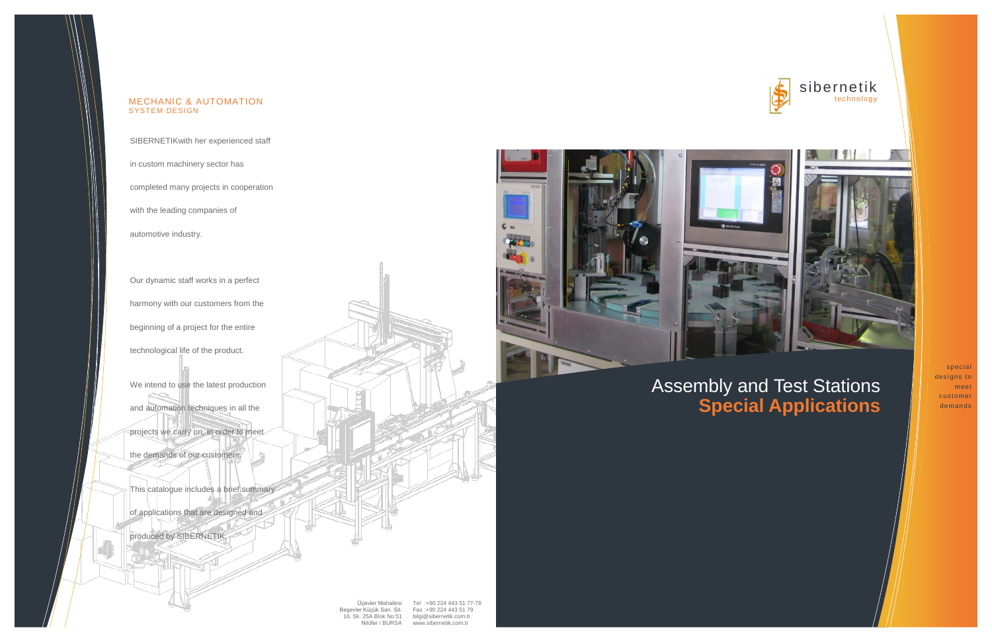sibernetik technology

Üçevler Mahallesi Beşevler Küçük San. Sit. Fax :+90 224 443 51 79 16. Sk. 25A Blok No:51 Nilüfer / BURSA Tel :+90 224 443 51 77-78 [bilgi@sibernetik.com.tr](mailto:bilgi@sibernetik.com.tr) [www.sibernetik.com.tr](http://www.sibernetik.com.tr/)





## Assembly and Test Stations **Special Applications**

special designs to meet customer demands

SIBERNETIKwith her experienced staff

in custom machinery sector has

completed many projects in cooperation

We intend to use the latest production and automation techniques in all the projects we carry on, in order to meet

with the leading companies of

automotive industry.

Our dynamic staff works in a perfect harmony with our customers from the beginning of a project for the entire

technological life of the product.

the demands of our customers.

This catalogue includes a brief summary

of applications that are designed and

produced by SIBERNETIK.



### MECHANIC & AUTOMATION SYSTEM DESIGN